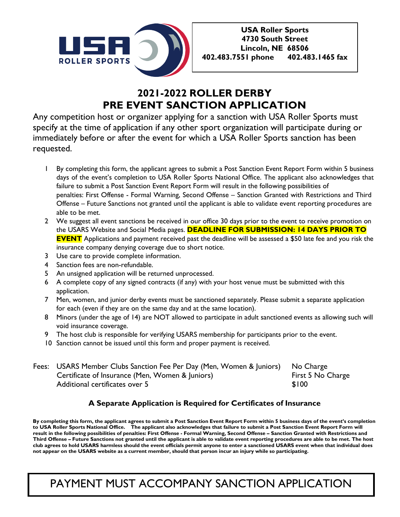

# **2021-2022 ROLLER DERBY PRE EVENT SANCTION APPLICATION**

Any competition host or organizer applying for a sanction with USA Roller Sports must specify at the time of application if any other sport organization will participate during or immediately before or after the event for which a USA Roller Sports sanction has been requested.

- 1 By completing this form, the applicant agrees to submit a Post Sanction Event Report Form within 5 business days of the event's completion to USA Roller Sports National Office. The applicant also acknowledges that failure to submit a Post Sanction Event Report Form will result in the following possibilities of penalties: First Offense - Formal Warning, Second Offense – Sanction Granted with Restrictions and Third Offense – Future Sanctions not granted until the applicant is able to validate event reporting procedures are able to be met.
- 2 We suggest all event sanctions be received in our office 30 days prior to the event to receive promotion on the USARS Website and Social Media pages. **DEADLINE FOR SUBMISSION: 14 DAYS PRIOR TO EVENT** Applications and payment received past the deadline will be assessed a \$50 late fee and you risk the insurance company denying coverage due to short notice.
- 3 Use care to provide complete information.
- 4 Sanction fees are non-refundable.
- 5 An unsigned application will be returned unprocessed.
- 6 A complete copy of any signed contracts (if any) with your host venue must be submitted with this application.
- 7 Men, women, and junior derby events must be sanctioned separately. Please submit a separate application for each (even if they are on the same day and at the same location).
- 8 Minors (under the age of 14) are NOT allowed to participate in adult sanctioned events as allowing such will void insurance coverage.
- 9 The host club is responsible for verifying USARS membership for participants prior to the event.
- 10 Sanction cannot be issued until this form and proper payment is received.

| Fees: USARS Member Clubs Sanction Fee Per Day (Men, Women & Juniors) No Charge |                   |
|--------------------------------------------------------------------------------|-------------------|
| Certificate of Insurance (Men, Women & Juniors)                                | First 5 No Charge |
| Additional certificates over 5                                                 | \$100             |

## **A Separate Application is Required for Certificates of Insurance**

**By completing this form, the applicant agrees to submit a Post Sanction Event Report Form within 5 business days of the event's completion** to USA Roller Sports National Office. The applicant also acknowledges that failure to submit a Post Sanction Event Report Form will **result in the following possibilities of penalties: First Offense - Formal Warning, Second Offense – Sanction Granted with Restrictions and Third Offense – Future Sanctions not granted until the applicant is able to validate event reporting procedures are able to be met. The host club agrees to hold USARS harmless should the event officials permit anyone to enter a sanctioned USARS event when that individual does not appear on the USARS website as a current member, should that person incur an injury while so participating.**

# PAYMENT MUST ACCOMPANY SANCTION APPLICATION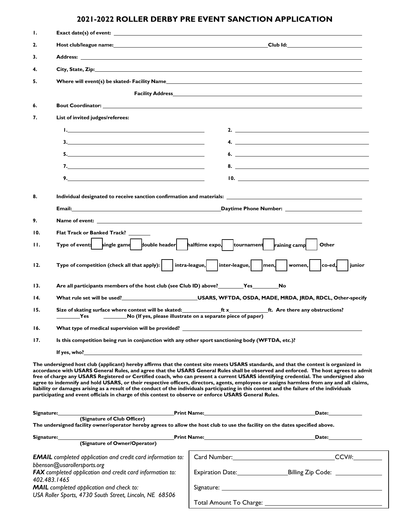# **2021-2022 ROLLER DERBY PRE EVENT SANCTION APPLICATION**

| Ι.                                                                                                  |                                                                                                                                                                                                                                     |                                                                                                                                                                                                                                                                                                                                                                                                                                                                                                                                                                                                                                                                                                                     |  |
|-----------------------------------------------------------------------------------------------------|-------------------------------------------------------------------------------------------------------------------------------------------------------------------------------------------------------------------------------------|---------------------------------------------------------------------------------------------------------------------------------------------------------------------------------------------------------------------------------------------------------------------------------------------------------------------------------------------------------------------------------------------------------------------------------------------------------------------------------------------------------------------------------------------------------------------------------------------------------------------------------------------------------------------------------------------------------------------|--|
| 2.                                                                                                  |                                                                                                                                                                                                                                     | Host club/league name: the contract of the contract of the contract of the contract of the contract of the contract of the contract of the contract of the contract of the contract of the contract of the contract of the con                                                                                                                                                                                                                                                                                                                                                                                                                                                                                      |  |
| 3.                                                                                                  |                                                                                                                                                                                                                                     | Address: Analysis and the contract of the contract of the contract of the contract of the contract of the contract of the contract of the contract of the contract of the contract of the contract of the contract of the cont                                                                                                                                                                                                                                                                                                                                                                                                                                                                                      |  |
| 4.                                                                                                  | City, State, Zip: 2008. The contract of the contract of the contract of the contract of the contract of the contract of the contract of the contract of the contract of the contract of the contract of the contract of the co      |                                                                                                                                                                                                                                                                                                                                                                                                                                                                                                                                                                                                                                                                                                                     |  |
| 5.                                                                                                  |                                                                                                                                                                                                                                     |                                                                                                                                                                                                                                                                                                                                                                                                                                                                                                                                                                                                                                                                                                                     |  |
|                                                                                                     |                                                                                                                                                                                                                                     |                                                                                                                                                                                                                                                                                                                                                                                                                                                                                                                                                                                                                                                                                                                     |  |
| 6.                                                                                                  |                                                                                                                                                                                                                                     | <b>Bout Coordinator:</b> Note that the contract of the contract of the contract of the contract of the coordinator:                                                                                                                                                                                                                                                                                                                                                                                                                                                                                                                                                                                                 |  |
| 7.                                                                                                  | List of invited judges/referees:                                                                                                                                                                                                    |                                                                                                                                                                                                                                                                                                                                                                                                                                                                                                                                                                                                                                                                                                                     |  |
|                                                                                                     |                                                                                                                                                                                                                                     | $\sim$ 2.                                                                                                                                                                                                                                                                                                                                                                                                                                                                                                                                                                                                                                                                                                           |  |
|                                                                                                     | $\mathbf{3.}$                                                                                                                                                                                                                       | $\overline{a}$                                                                                                                                                                                                                                                                                                                                                                                                                                                                                                                                                                                                                                                                                                      |  |
|                                                                                                     |                                                                                                                                                                                                                                     | 6. $\qquad \qquad$                                                                                                                                                                                                                                                                                                                                                                                                                                                                                                                                                                                                                                                                                                  |  |
|                                                                                                     |                                                                                                                                                                                                                                     | 8. $\overline{\phantom{a}}$                                                                                                                                                                                                                                                                                                                                                                                                                                                                                                                                                                                                                                                                                         |  |
|                                                                                                     | $\overline{\mathbf{9}}$ .                                                                                                                                                                                                           | $\blacksquare$                                                                                                                                                                                                                                                                                                                                                                                                                                                                                                                                                                                                                                                                                                      |  |
|                                                                                                     |                                                                                                                                                                                                                                     |                                                                                                                                                                                                                                                                                                                                                                                                                                                                                                                                                                                                                                                                                                                     |  |
| 8.                                                                                                  |                                                                                                                                                                                                                                     |                                                                                                                                                                                                                                                                                                                                                                                                                                                                                                                                                                                                                                                                                                                     |  |
|                                                                                                     | <b>Email:</b> The contract of the contract of the contract of the contract of the contract of the contract of the contract of the contract of the contract of the contract of the contract of the contract of the contract of the c |                                                                                                                                                                                                                                                                                                                                                                                                                                                                                                                                                                                                                                                                                                                     |  |
| 9.                                                                                                  | Name of event: the contract of the contract of the contract of the contract of the contract of the contract of the contract of the contract of the contract of the contract of the contract of the contract of the contract of      |                                                                                                                                                                                                                                                                                                                                                                                                                                                                                                                                                                                                                                                                                                                     |  |
| 10.                                                                                                 | Flat Track or Banked Track?                                                                                                                                                                                                         |                                                                                                                                                                                                                                                                                                                                                                                                                                                                                                                                                                                                                                                                                                                     |  |
| н.                                                                                                  | Type of event: single game divide header halftime expo, tournament raining camp                                                                                                                                                     | Other                                                                                                                                                                                                                                                                                                                                                                                                                                                                                                                                                                                                                                                                                                               |  |
| 12.                                                                                                 | Type of competition (check all that apply): $\vert$ intra-league, $\vert$ inter-league, $\vert$ men, $\vert$ women, $\vert$ co-ed, inior                                                                                            |                                                                                                                                                                                                                                                                                                                                                                                                                                                                                                                                                                                                                                                                                                                     |  |
| 13.                                                                                                 |                                                                                                                                                                                                                                     |                                                                                                                                                                                                                                                                                                                                                                                                                                                                                                                                                                                                                                                                                                                     |  |
| 14.                                                                                                 |                                                                                                                                                                                                                                     | What rule set will be used?____________________________USARS, WFTDA, OSDA, MADE, MRDA, JRDA, RDCL, Other-specify                                                                                                                                                                                                                                                                                                                                                                                                                                                                                                                                                                                                    |  |
| 15.                                                                                                 | Size of skating surface where contest will be skated:<br>No (If yes, please illustrate on a separate piece of paper)<br>Yes                                                                                                         |                                                                                                                                                                                                                                                                                                                                                                                                                                                                                                                                                                                                                                                                                                                     |  |
| 16.                                                                                                 |                                                                                                                                                                                                                                     |                                                                                                                                                                                                                                                                                                                                                                                                                                                                                                                                                                                                                                                                                                                     |  |
| 17.                                                                                                 | Is this competition being run in conjunction with any other sport sanctioning body (WFTDA, etc.)?                                                                                                                                   |                                                                                                                                                                                                                                                                                                                                                                                                                                                                                                                                                                                                                                                                                                                     |  |
|                                                                                                     | If yes, who? The contract of the contract of the contract of the contract of the contract of the contract of the contract of the contract of the contract of the contract of the contract of the contract of the contract of t      |                                                                                                                                                                                                                                                                                                                                                                                                                                                                                                                                                                                                                                                                                                                     |  |
|                                                                                                     | participating and event officials in charge of this contest to observe or enforce USARS General Rules.                                                                                                                              | The undersigned host club (applicant) hereby affirms that the contest site meets USARS standards, and that the contest is organized in<br>accordance with USARS General Rules, and agree that the USARS General Rules shall be observed and enforced. The host agrees to admit<br>free of charge any USARS Registered or Certified coach, who can present a current USARS identifying credential. The undersigned also<br>agree to indemnify and hold USARS, or their respective officers, directors, agents, employees or assigns harmless from any and all claims,<br>liability or damages arising as a result of the conduct of the individuals participating in this contest and the failure of the individuals |  |
|                                                                                                     |                                                                                                                                                                                                                                     | Date: and the state of the state of the state of the state of the state of the state of the state of the state of the state of the state of the state of the state of the state of the state of the state of the state of the                                                                                                                                                                                                                                                                                                                                                                                                                                                                                       |  |
|                                                                                                     | (Signature of Club Officer)                                                                                                                                                                                                         | The undersigned facility owner/operator hereby agrees to allow the host club to use the facility on the dates specified above.                                                                                                                                                                                                                                                                                                                                                                                                                                                                                                                                                                                      |  |
|                                                                                                     | Signature:<br>(Signature of Owner/Operator)                                                                                                                                                                                         | <u>Print Name: Name: Name: Name: Name of the Band of the Band of the Band of the Band of the Band of the Band of the Band of the Band of the Band of the Band of the Band of the Band of the Band of the Band of the Band of the</u><br>Date: the contract of the contract of the contract of the contract of the contract of the contract of the contract of the contract of the contract of the contract of the contract of the contract of the contract of the cont                                                                                                                                                                                                                                              |  |
|                                                                                                     |                                                                                                                                                                                                                                     |                                                                                                                                                                                                                                                                                                                                                                                                                                                                                                                                                                                                                                                                                                                     |  |
| <b>EMAIL</b> completed application and credit card information to:<br>bbenson@usarollersports.org   |                                                                                                                                                                                                                                     | Card Number: Card Number CCV#:                                                                                                                                                                                                                                                                                                                                                                                                                                                                                                                                                                                                                                                                                      |  |
|                                                                                                     | FAX completed application and credit card information to:<br>402.483.1465                                                                                                                                                           |                                                                                                                                                                                                                                                                                                                                                                                                                                                                                                                                                                                                                                                                                                                     |  |
| MAIL completed application and check to:<br>USA Roller Sports, 4730 South Street, Lincoln, NE 68506 |                                                                                                                                                                                                                                     |                                                                                                                                                                                                                                                                                                                                                                                                                                                                                                                                                                                                                                                                                                                     |  |

Total Amount To Charge: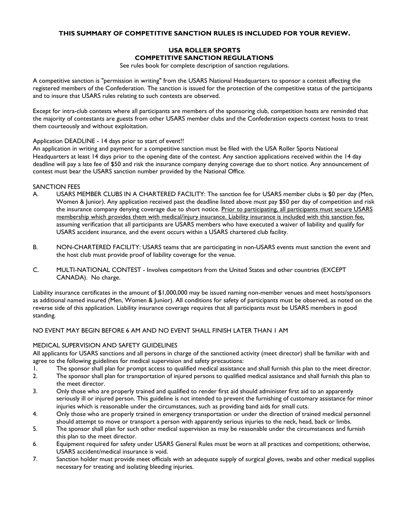#### **THIS SUMMARY OF COMPETITIVE SANCTION RULES IS INCLUDED FOR YOUR REVIEW.**

### **USA ROLLER SPORTS COMPETITIVE SANCTION REGULATIONS**

See rules book for complete description of sanction regulations.

A competitive sanction is "permission in writing" from the USARS National Headquarters to sponsor a contest affecting the registered members of the Confederation. The sanction is issued for the protection of the competitive status of the participants and to insure that USARS rules relating to such contests are observed.

Except for intra-club contests where all participants are members of the sponsoring club, competition hosts are reminded that the majority of contestants are guests from other USARS member clubs and the Confederation expects contest hosts to treat them courteously and without exploitation.

#### Application DEADLINE - 14 days prior to start of event!!

An application in writing and payment for a competitive sanction must be filed with the USA Roller Sports National Headquarters at least 14 days prior to the opening date of the contest. Any sanction applications received within the 14 day deadline will pay a late fee of \$50 and risk the insurance company denying coverage due to short notice. Any announcement of contest must bear the USARS sanction number provided by the National Office.

#### SANCTION FEES

- A. USARS MEMBER CLUBS IN A CHARTERED FACILITY: The sanction fee for USARS member clubs is \$0 per day (Men, Women & Junior). Any application received past the deadline listed above must pay \$50 per day of competition and risk the insurance company denying coverage due to short notice. Prior to participating, all participants must secure USARS membership which provides them with medical/injury insurance. Liability insurance is included with this sanction fee, assuming verification that all participants are USARS members who have executed a waiver of liability and qualify for USARS accident insurance, and the event occurs within a USARS chartered club facility.
- B. NON-CHARTERED FACILITY: USARS teams that are participating in non-USARS events must sanction the event and the host club must provide proof of liability coverage for the venue.
- C. MULTI-NATIONAL CONTEST Involves competitors from the United States and other countries (EXCEPT CANADA). No charge.

Liability insurance certificates in the amount of \$1,000,000 may be issued naming non-member venues and meet hosts/sponsors as additional named insured (Men, Women & Junior). All conditions for safety of participants must be observed, as noted on the reverse side of this application. Liability insurance coverage requires that all participants must be USARS members in good standing.

#### NO EVENT MAY BEGIN BEFORE 6 AM AND NO EVENT SHALL FINISH LATER THAN 1 AM

#### MEDICAL SUPERVISION AND SAFETY GUIDELINES

All applicants for USARS sanctions and all persons in charge of the sanctioned activity (meet director) shall be familiar with and agree to the following guidelines for medical supervision and safety precautions:

- 1. The sponsor shall plan for prompt access to qualified medical assistance and shall furnish this plan to the meet director.
- 2. The sponsor shall plan for transportation of injured persons to qualified medical assistance and shall furnish this plan to the meet director.
- 3. Only those who are properly trained and qualified to render first aid should administer first aid to an apparently seriously ill or injured person. This guideline is not intended to prevent the furnishing of customary assistance for minor injuries which is reasonable under the circumstances, such as providing band aids for small cuts.
- 4. Only those who are properly trained in emergency transportation or under the direction of trained medical personnel should attempt to move or transport a person with apparently serious injuries to the neck, head, back or limbs.
- 5. The sponsor shall plan for such other medical supervision as may be reasonable under the circumstances and furnish this plan to the meet director.
- 6. Equipment required for safety under USARS General Rules must be worn at all practices and competitions; otherwise, USARS accident/medical insurance is void.
- 7. Sanction holder must provide meet officials with an adequate supply of surgical gloves, swabs and other medical supplies necessary for treating and isolating bleeding injuries.